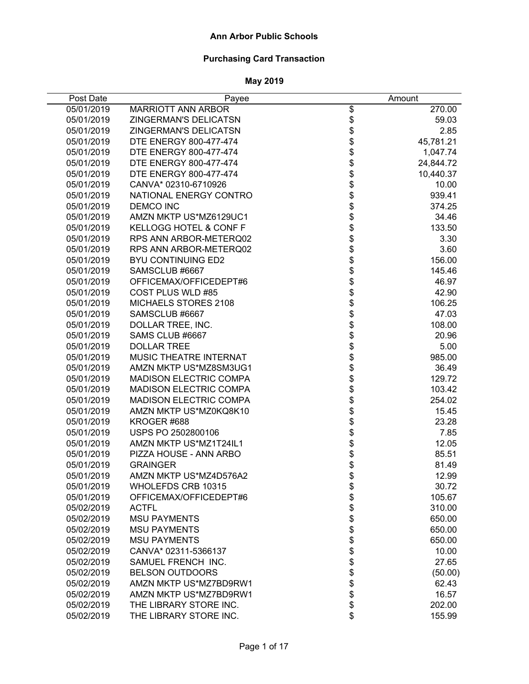### **Ann Arbor Public Schools**

# **Purchasing Card Transaction**

| Post Date  | Payee                         |                        | Amount    |
|------------|-------------------------------|------------------------|-----------|
| 05/01/2019 | <b>MARRIOTT ANN ARBOR</b>     |                        | 270.00    |
| 05/01/2019 | <b>ZINGERMAN'S DELICATSN</b>  |                        | 59.03     |
| 05/01/2019 | ZINGERMAN'S DELICATSN         |                        | 2.85      |
| 05/01/2019 | DTE ENERGY 800-477-474        |                        | 45,781.21 |
| 05/01/2019 | DTE ENERGY 800-477-474        |                        | 1,047.74  |
| 05/01/2019 | DTE ENERGY 800-477-474        |                        | 24,844.72 |
| 05/01/2019 | DTE ENERGY 800-477-474        |                        | 10,440.37 |
| 05/01/2019 | CANVA* 02310-6710926          |                        | 10.00     |
| 05/01/2019 | NATIONAL ENERGY CONTRO        |                        | 939.41    |
| 05/01/2019 | <b>DEMCO INC</b>              |                        | 374.25    |
| 05/01/2019 | AMZN MKTP US*MZ6129UC1        |                        | 34.46     |
| 05/01/2019 | KELLOGG HOTEL & CONF F        |                        | 133.50    |
| 05/01/2019 | RPS ANN ARBOR-METERQ02        |                        | 3.30      |
| 05/01/2019 | RPS ANN ARBOR-METERQ02        |                        | 3.60      |
| 05/01/2019 | <b>BYU CONTINUING ED2</b>     |                        | 156.00    |
| 05/01/2019 | SAMSCLUB #6667                |                        | 145.46    |
| 05/01/2019 | OFFICEMAX/OFFICEDEPT#6        |                        | 46.97     |
| 05/01/2019 | COST PLUS WLD #85             | \$                     | 42.90     |
| 05/01/2019 | MICHAELS STORES 2108          |                        | 106.25    |
| 05/01/2019 | SAMSCLUB #6667                |                        | 47.03     |
| 05/01/2019 | DOLLAR TREE, INC.             |                        | 108.00    |
| 05/01/2019 | SAMS CLUB #6667               |                        | 20.96     |
| 05/01/2019 | <b>DOLLAR TREE</b>            |                        | 5.00      |
| 05/01/2019 | MUSIC THEATRE INTERNAT        | \$\$\$\$\$\$\$\$\$\$\$ | 985.00    |
| 05/01/2019 | AMZN MKTP US*MZ8SM3UG1        |                        | 36.49     |
| 05/01/2019 | <b>MADISON ELECTRIC COMPA</b> |                        | 129.72    |
| 05/01/2019 | <b>MADISON ELECTRIC COMPA</b> |                        | 103.42    |
| 05/01/2019 | <b>MADISON ELECTRIC COMPA</b> |                        | 254.02    |
| 05/01/2019 | AMZN MKTP US*MZ0KQ8K10        |                        | 15.45     |
| 05/01/2019 | KROGER #688                   |                        | 23.28     |
| 05/01/2019 | USPS PO 2502800106            | \$<br>\$               | 7.85      |
| 05/01/2019 | AMZN MKTP US*MZ1T24IL1        |                        | 12.05     |
| 05/01/2019 | PIZZA HOUSE - ANN ARBO        |                        | 85.51     |
| 05/01/2019 | <b>GRAINGER</b>               | \$\$                   | 81.49     |
| 05/01/2019 | AMZN MKTP US*MZ4D576A2        | \$                     | 12.99     |
| 05/01/2019 | WHOLEFDS CRB 10315            |                        | 30.72     |
| 05/01/2019 | OFFICEMAX/OFFICEDEPT#6        |                        | 105.67    |
| 05/02/2019 | <b>ACTFL</b>                  | \$<br>\$               | 310.00    |
| 05/02/2019 | <b>MSU PAYMENTS</b>           | \$                     | 650.00    |
| 05/02/2019 | <b>MSU PAYMENTS</b>           | \$                     | 650.00    |
| 05/02/2019 | <b>MSU PAYMENTS</b>           | \$                     | 650.00    |
| 05/02/2019 | CANVA* 02311-5366137          | \$                     | 10.00     |
| 05/02/2019 | SAMUEL FRENCH INC.            | \$                     | 27.65     |
| 05/02/2019 | <b>BELSON OUTDOORS</b>        | \$                     | (50.00)   |
| 05/02/2019 | AMZN MKTP US*MZ7BD9RW1        | \$                     | 62.43     |
| 05/02/2019 | AMZN MKTP US*MZ7BD9RW1        | \$                     | 16.57     |
| 05/02/2019 | THE LIBRARY STORE INC.        | \$                     | 202.00    |
| 05/02/2019 | THE LIBRARY STORE INC.        | \$                     | 155.99    |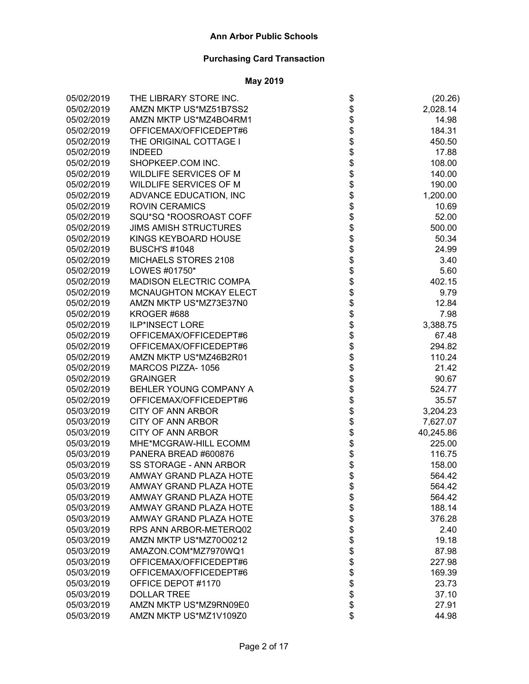| 05/02/2019 | THE LIBRARY STORE INC.        | \$               | (20.26)   |
|------------|-------------------------------|------------------|-----------|
| 05/02/2019 | AMZN MKTP US*MZ51B7SS2        |                  | 2,028.14  |
| 05/02/2019 | AMZN MKTP US*MZ4BO4RM1        |                  | 14.98     |
| 05/02/2019 | OFFICEMAX/OFFICEDEPT#6        |                  | 184.31    |
| 05/02/2019 | THE ORIGINAL COTTAGE I        |                  | 450.50    |
| 05/02/2019 | <b>INDEED</b>                 |                  | 17.88     |
| 05/02/2019 | SHOPKEEP.COM INC.             |                  | 108.00    |
| 05/02/2019 | WILDLIFE SERVICES OF M        |                  | 140.00    |
| 05/02/2019 | WILDLIFE SERVICES OF M        |                  | 190.00    |
| 05/02/2019 | ADVANCE EDUCATION, INC        |                  | 1,200.00  |
| 05/02/2019 | <b>ROVIN CERAMICS</b>         |                  | 10.69     |
| 05/02/2019 | SQU*SQ *ROOSROAST COFF        |                  | 52.00     |
| 05/02/2019 | <b>JIMS AMISH STRUCTURES</b>  |                  | 500.00    |
| 05/02/2019 | KINGS KEYBOARD HOUSE          |                  | 50.34     |
| 05/02/2019 | <b>BUSCH'S #1048</b>          |                  | 24.99     |
| 05/02/2019 | MICHAELS STORES 2108          |                  | 3.40      |
| 05/02/2019 | LOWES #01750*                 |                  | 5.60      |
| 05/02/2019 | <b>MADISON ELECTRIC COMPA</b> |                  | 402.15    |
| 05/02/2019 | <b>MCNAUGHTON MCKAY ELECT</b> |                  | 9.79      |
| 05/02/2019 | AMZN MKTP US*MZ73E37N0        |                  | 12.84     |
| 05/02/2019 | KROGER #688                   |                  | 7.98      |
| 05/02/2019 | <b>ILP*INSECT LORE</b>        |                  | 3,388.75  |
| 05/02/2019 | OFFICEMAX/OFFICEDEPT#6        |                  | 67.48     |
| 05/02/2019 | OFFICEMAX/OFFICEDEPT#6        |                  | 294.82    |
| 05/02/2019 | AMZN MKTP US*MZ46B2R01        |                  | 110.24    |
| 05/02/2019 | MARCOS PIZZA-1056             |                  | 21.42     |
| 05/02/2019 | <b>GRAINGER</b>               |                  | 90.67     |
| 05/02/2019 | BEHLER YOUNG COMPANY A        |                  | 524.77    |
| 05/02/2019 | OFFICEMAX/OFFICEDEPT#6        |                  | 35.57     |
| 05/03/2019 | <b>CITY OF ANN ARBOR</b>      |                  | 3,204.23  |
| 05/03/2019 | <b>CITY OF ANN ARBOR</b>      |                  | 7,627.07  |
| 05/03/2019 | <b>CITY OF ANN ARBOR</b>      |                  | 40,245.86 |
| 05/03/2019 | MHE*MCGRAW-HILL ECOMM         |                  | 225.00    |
| 05/03/2019 | PANERA BREAD #600876          |                  | 116.75    |
| 05/03/2019 | <b>SS STORAGE - ANN ARBOR</b> |                  | 158.00    |
| 05/03/2019 | AMWAY GRAND PLAZA HOTE        |                  | 564.42    |
| 05/03/2019 | AMWAY GRAND PLAZA HOTE        | \$               | 564.42    |
| 05/03/2019 | AMWAY GRAND PLAZA HOTE        |                  | 564.42    |
| 05/03/2019 | AMWAY GRAND PLAZA HOTE        |                  | 188.14    |
| 05/03/2019 | <b>AMWAY GRAND PLAZA HOTE</b> |                  | 376.28    |
| 05/03/2019 | RPS ANN ARBOR-METERQ02        |                  | 2.40      |
| 05/03/2019 | AMZN MKTP US*MZ70O0212        |                  | 19.18     |
| 05/03/2019 | AMAZON.COM*MZ7970WQ1          |                  | 87.98     |
| 05/03/2019 | OFFICEMAX/OFFICEDEPT#6        |                  | 227.98    |
| 05/03/2019 | OFFICEMAX/OFFICEDEPT#6        | <b>おおままままままま</b> | 169.39    |
| 05/03/2019 | OFFICE DEPOT #1170            |                  | 23.73     |
| 05/03/2019 | <b>DOLLAR TREE</b>            |                  | 37.10     |
| 05/03/2019 | AMZN MKTP US*MZ9RN09E0        |                  | 27.91     |
| 05/03/2019 | AMZN MKTP US*MZ1V109Z0        | \$               | 44.98     |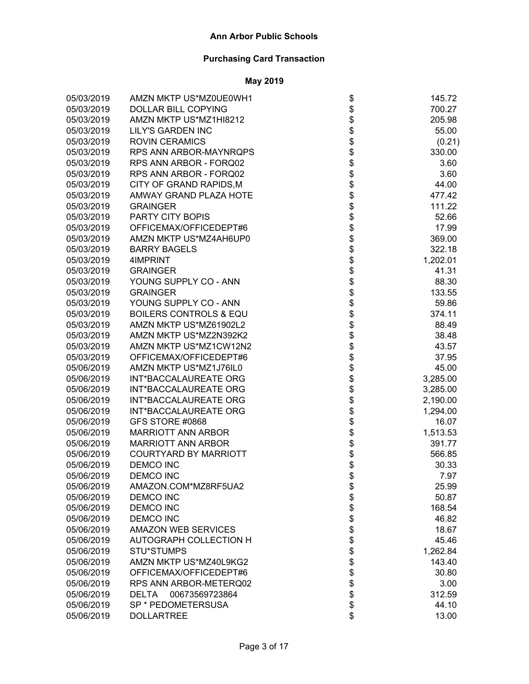| 05/03/2019 | AMZN MKTP US*MZ0UE0WH1            |                    | 145.72   |
|------------|-----------------------------------|--------------------|----------|
| 05/03/2019 | DOLLAR BILL COPYING               |                    | 700.27   |
| 05/03/2019 | AMZN MKTP US*MZ1HI8212            |                    | 205.98   |
| 05/03/2019 | <b>LILY'S GARDEN INC</b>          |                    | 55.00    |
| 05/03/2019 | <b>ROVIN CERAMICS</b>             |                    | (0.21)   |
| 05/03/2019 | RPS ANN ARBOR-MAYNRQPS            |                    | 330.00   |
| 05/03/2019 | RPS ANN ARBOR - FORQ02            |                    | 3.60     |
| 05/03/2019 | RPS ANN ARBOR - FORQ02            |                    | 3.60     |
| 05/03/2019 | CITY OF GRAND RAPIDS, M           |                    | 44.00    |
| 05/03/2019 | AMWAY GRAND PLAZA HOTE            |                    | 477.42   |
| 05/03/2019 | <b>GRAINGER</b>                   |                    | 111.22   |
| 05/03/2019 | <b>PARTY CITY BOPIS</b>           |                    | 52.66    |
| 05/03/2019 | OFFICEMAX/OFFICEDEPT#6            |                    | 17.99    |
| 05/03/2019 | AMZN MKTP US*MZ4AH6UP0            |                    | 369.00   |
| 05/03/2019 | <b>BARRY BAGELS</b>               |                    | 322.18   |
| 05/03/2019 | 4IMPRINT                          |                    | 1,202.01 |
| 05/03/2019 | <b>GRAINGER</b>                   |                    | 41.31    |
| 05/03/2019 | YOUNG SUPPLY CO - ANN             |                    | 88.30    |
| 05/03/2019 | <b>GRAINGER</b>                   |                    | 133.55   |
| 05/03/2019 | YOUNG SUPPLY CO - ANN             |                    | 59.86    |
| 05/03/2019 | <b>BOILERS CONTROLS &amp; EQU</b> |                    | 374.11   |
| 05/03/2019 | AMZN MKTP US*MZ61902L2            |                    | 88.49    |
| 05/03/2019 | AMZN MKTP US*MZ2N392K2            |                    | 38.48    |
| 05/03/2019 | AMZN MKTP US*MZ1CW12N2            |                    | 43.57    |
| 05/03/2019 | OFFICEMAX/OFFICEDEPT#6            |                    | 37.95    |
| 05/06/2019 | AMZN MKTP US*MZ1J76IL0            |                    | 45.00    |
| 05/06/2019 | INT*BACCALAUREATE ORG             |                    | 3,285.00 |
| 05/06/2019 | INT*BACCALAUREATE ORG             |                    | 3,285.00 |
| 05/06/2019 | INT*BACCALAUREATE ORG             |                    | 2,190.00 |
| 05/06/2019 | INT*BACCALAUREATE ORG             |                    | 1,294.00 |
| 05/06/2019 | GFS STORE #0868                   |                    | 16.07    |
| 05/06/2019 | <b>MARRIOTT ANN ARBOR</b>         |                    | 1,513.53 |
| 05/06/2019 | <b>MARRIOTT ANN ARBOR</b>         |                    | 391.77   |
| 05/06/2019 | <b>COURTYARD BY MARRIOTT</b>      |                    | 566.85   |
| 05/06/2019 | <b>DEMCO INC</b>                  |                    | 30.33    |
| 05/06/2019 | <b>DEMCO INC</b>                  |                    | 7.97     |
| 05/06/2019 | AMAZON.COM*MZ8RF5UA2              | \$                 | 25.99    |
| 05/06/2019 | <b>DEMCO INC</b>                  |                    | 50.87    |
| 05/06/2019 | <b>DEMCO INC</b>                  |                    | 168.54   |
| 05/06/2019 | <b>DEMCO INC</b>                  |                    | 46.82    |
| 05/06/2019 | <b>AMAZON WEB SERVICES</b>        |                    | 18.67    |
| 05/06/2019 | <b>AUTOGRAPH COLLECTION H</b>     |                    | 45.46    |
| 05/06/2019 | STU*STUMPS                        |                    | 1,262.84 |
| 05/06/2019 | AMZN MKTP US*MZ40L9KG2            |                    | 143.40   |
| 05/06/2019 | OFFICEMAX/OFFICEDEPT#6            | <b>88888888888</b> | 30.80    |
| 05/06/2019 | RPS ANN ARBOR-METERQ02            |                    | 3.00     |
| 05/06/2019 | 00673569723864<br><b>DELTA</b>    |                    | 312.59   |
| 05/06/2019 | SP * PEDOMETERSUSA                |                    | 44.10    |
| 05/06/2019 | <b>DOLLARTREE</b>                 | \$                 | 13.00    |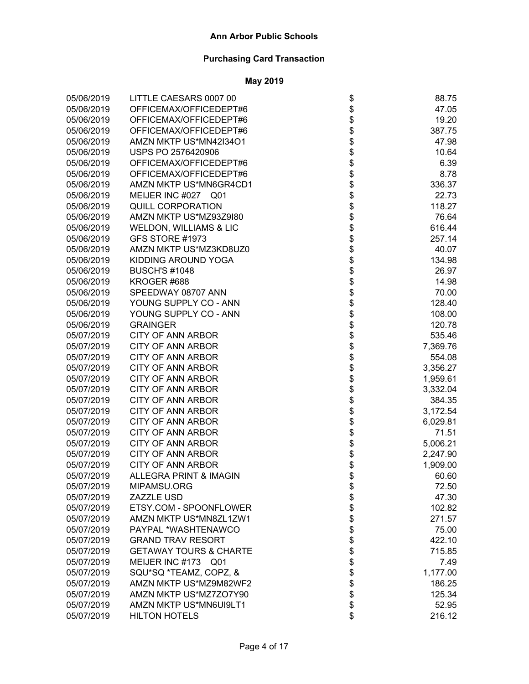| 05/06/2019 | LITTLE CAESARS 0007 00            | \$                | 88.75    |
|------------|-----------------------------------|-------------------|----------|
| 05/06/2019 | OFFICEMAX/OFFICEDEPT#6            | \$                | 47.05    |
| 05/06/2019 | OFFICEMAX/OFFICEDEPT#6            |                   | 19.20    |
| 05/06/2019 | OFFICEMAX/OFFICEDEPT#6            |                   | 387.75   |
| 05/06/2019 | AMZN MKTP US*MN42I34O1            |                   | 47.98    |
| 05/06/2019 | USPS PO 2576420906                |                   | 10.64    |
| 05/06/2019 | OFFICEMAX/OFFICEDEPT#6            |                   | 6.39     |
| 05/06/2019 | OFFICEMAX/OFFICEDEPT#6            |                   | 8.78     |
| 05/06/2019 | AMZN MKTP US*MN6GR4CD1            |                   | 336.37   |
| 05/06/2019 | MEIJER INC #027 Q01               |                   | 22.73    |
| 05/06/2019 | QUILL CORPORATION                 |                   | 118.27   |
| 05/06/2019 | AMZN MKTP US*MZ93Z9I80            |                   | 76.64    |
| 05/06/2019 | WELDON, WILLIAMS & LIC            |                   | 616.44   |
| 05/06/2019 | GFS STORE #1973                   |                   | 257.14   |
| 05/06/2019 | AMZN MKTP US*MZ3KD8UZ0            |                   | 40.07    |
| 05/06/2019 | KIDDING AROUND YOGA               |                   | 134.98   |
| 05/06/2019 | <b>BUSCH'S #1048</b>              |                   | 26.97    |
| 05/06/2019 | KROGER #688                       |                   | 14.98    |
| 05/06/2019 | SPEEDWAY 08707 ANN                |                   | 70.00    |
| 05/06/2019 | YOUNG SUPPLY CO - ANN             |                   | 128.40   |
| 05/06/2019 | YOUNG SUPPLY CO - ANN             |                   | 108.00   |
| 05/06/2019 | <b>GRAINGER</b>                   |                   | 120.78   |
| 05/07/2019 | <b>CITY OF ANN ARBOR</b>          |                   | 535.46   |
| 05/07/2019 | <b>CITY OF ANN ARBOR</b>          |                   | 7,369.76 |
| 05/07/2019 | <b>CITY OF ANN ARBOR</b>          |                   | 554.08   |
| 05/07/2019 | <b>CITY OF ANN ARBOR</b>          |                   | 3,356.27 |
| 05/07/2019 | <b>CITY OF ANN ARBOR</b>          |                   | 1,959.61 |
| 05/07/2019 | <b>CITY OF ANN ARBOR</b>          |                   | 3,332.04 |
| 05/07/2019 | <b>CITY OF ANN ARBOR</b>          |                   | 384.35   |
| 05/07/2019 | <b>CITY OF ANN ARBOR</b>          |                   | 3,172.54 |
| 05/07/2019 | <b>CITY OF ANN ARBOR</b>          |                   | 6,029.81 |
| 05/07/2019 | <b>CITY OF ANN ARBOR</b>          |                   | 71.51    |
| 05/07/2019 | <b>CITY OF ANN ARBOR</b>          |                   | 5,006.21 |
| 05/07/2019 | <b>CITY OF ANN ARBOR</b>          |                   | 2,247.90 |
| 05/07/2019 | <b>CITY OF ANN ARBOR</b>          |                   | 1,909.00 |
| 05/07/2019 | <b>ALLEGRA PRINT &amp; IMAGIN</b> |                   | 60.60    |
| 05/07/2019 | MIPAMSU.ORG                       | \$                | 72.50    |
| 05/07/2019 | <b>ZAZZLE USD</b>                 |                   | 47.30    |
| 05/07/2019 | ETSY.COM - SPOONFLOWER            |                   | 102.82   |
| 05/07/2019 | AMZN MKTP US*MN8ZL1ZW1            |                   | 271.57   |
| 05/07/2019 | PAYPAL *WASHTENAWCO               |                   | 75.00    |
| 05/07/2019 | <b>GRAND TRAV RESORT</b>          |                   | 422.10   |
| 05/07/2019 | <b>GETAWAY TOURS &amp; CHARTE</b> |                   | 715.85   |
| 05/07/2019 | MEIJER INC #173 Q01               |                   | 7.49     |
| 05/07/2019 | SQU*SQ *TEAMZ, COPZ, &            | <b>8888888888</b> | 1,177.00 |
| 05/07/2019 | AMZN MKTP US*MZ9M82WF2            |                   | 186.25   |
| 05/07/2019 | AMZN MKTP US*MZ7ZO7Y90            |                   | 125.34   |
| 05/07/2019 | AMZN MKTP US*MN6UI9LT1            |                   | 52.95    |
| 05/07/2019 | <b>HILTON HOTELS</b>              | \$                | 216.12   |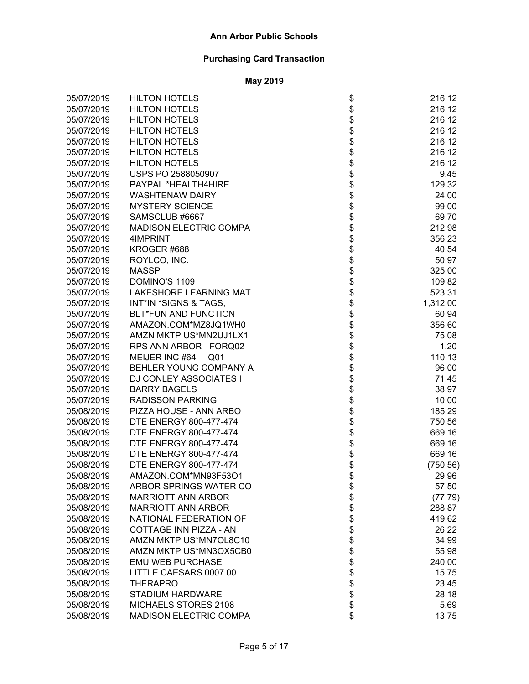| 05/07/2019 | <b>HILTON HOTELS</b>          |                    | 216.12   |
|------------|-------------------------------|--------------------|----------|
| 05/07/2019 | <b>HILTON HOTELS</b>          |                    | 216.12   |
| 05/07/2019 | <b>HILTON HOTELS</b>          |                    | 216.12   |
| 05/07/2019 | <b>HILTON HOTELS</b>          |                    | 216.12   |
| 05/07/2019 | <b>HILTON HOTELS</b>          |                    | 216.12   |
| 05/07/2019 | <b>HILTON HOTELS</b>          |                    | 216.12   |
| 05/07/2019 | <b>HILTON HOTELS</b>          |                    | 216.12   |
| 05/07/2019 | USPS PO 2588050907            |                    | 9.45     |
| 05/07/2019 | PAYPAL *HEALTH4HIRE           |                    | 129.32   |
| 05/07/2019 | <b>WASHTENAW DAIRY</b>        |                    | 24.00    |
| 05/07/2019 | <b>MYSTERY SCIENCE</b>        |                    | 99.00    |
| 05/07/2019 | SAMSCLUB #6667                |                    | 69.70    |
| 05/07/2019 | MADISON ELECTRIC COMPA        |                    | 212.98   |
| 05/07/2019 | 4IMPRINT                      |                    | 356.23   |
| 05/07/2019 | KROGER #688                   |                    | 40.54    |
| 05/07/2019 | ROYLCO, INC.                  |                    | 50.97    |
| 05/07/2019 | <b>MASSP</b>                  |                    | 325.00   |
| 05/07/2019 | DOMINO'S 1109                 |                    | 109.82   |
| 05/07/2019 | <b>LAKESHORE LEARNING MAT</b> |                    | 523.31   |
| 05/07/2019 | INT*IN *SIGNS & TAGS,         |                    | 1,312.00 |
| 05/07/2019 | <b>BLT*FUN AND FUNCTION</b>   |                    | 60.94    |
| 05/07/2019 | AMAZON.COM*MZ8JQ1WH0          |                    | 356.60   |
| 05/07/2019 | AMZN MKTP US*MN2UJ1LX1        |                    | 75.08    |
| 05/07/2019 | RPS ANN ARBOR - FORQ02        |                    | 1.20     |
| 05/07/2019 | MEIJER INC #64 Q01            |                    | 110.13   |
| 05/07/2019 | BEHLER YOUNG COMPANY A        |                    | 96.00    |
| 05/07/2019 | <b>DJ CONLEY ASSOCIATES I</b> |                    | 71.45    |
| 05/07/2019 | <b>BARRY BAGELS</b>           |                    | 38.97    |
| 05/07/2019 | <b>RADISSON PARKING</b>       |                    | 10.00    |
| 05/08/2019 | PIZZA HOUSE - ANN ARBO        |                    | 185.29   |
| 05/08/2019 | DTE ENERGY 800-477-474        |                    | 750.56   |
| 05/08/2019 | DTE ENERGY 800-477-474        |                    | 669.16   |
| 05/08/2019 | DTE ENERGY 800-477-474        |                    | 669.16   |
| 05/08/2019 | DTE ENERGY 800-477-474        |                    | 669.16   |
| 05/08/2019 | DTE ENERGY 800-477-474        |                    | (750.56) |
| 05/08/2019 | AMAZON.COM*MN93F53O1          |                    | 29.96    |
| 05/08/2019 | ARBOR SPRINGS WATER CO        | \$                 | 57.50    |
| 05/08/2019 | <b>MARRIOTT ANN ARBOR</b>     |                    | (77.79)  |
| 05/08/2019 | <b>MARRIOTT ANN ARBOR</b>     |                    | 288.87   |
| 05/08/2019 | NATIONAL FEDERATION OF        |                    | 419.62   |
| 05/08/2019 | COTTAGE INN PIZZA - AN        |                    | 26.22    |
| 05/08/2019 | AMZN MKTP US*MN7OL8C10        |                    | 34.99    |
| 05/08/2019 | AMZN MKTP US*MN3OX5CB0        |                    | 55.98    |
| 05/08/2019 | <b>EMU WEB PURCHASE</b>       |                    | 240.00   |
| 05/08/2019 | LITTLE CAESARS 0007 00        |                    | 15.75    |
| 05/08/2019 | <b>THERAPRO</b>               | <b>88888888888</b> | 23.45    |
| 05/08/2019 | <b>STADIUM HARDWARE</b>       |                    | 28.18    |
| 05/08/2019 | MICHAELS STORES 2108          |                    | 5.69     |
| 05/08/2019 | <b>MADISON ELECTRIC COMPA</b> | \$                 | 13.75    |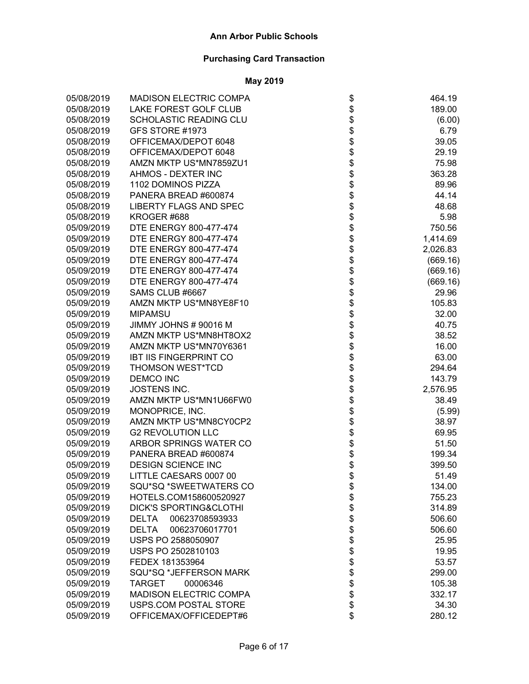| 05/08/2019 | <b>MADISON ELECTRIC COMPA</b>     |                                      | 464.19   |
|------------|-----------------------------------|--------------------------------------|----------|
| 05/08/2019 | LAKE FOREST GOLF CLUB             |                                      | 189.00   |
| 05/08/2019 | SCHOLASTIC READING CLU            |                                      | (6.00)   |
| 05/08/2019 | GFS STORE #1973                   |                                      | 6.79     |
| 05/08/2019 | OFFICEMAX/DEPOT 6048              |                                      | 39.05    |
| 05/08/2019 | OFFICEMAX/DEPOT 6048              |                                      | 29.19    |
| 05/08/2019 | AMZN MKTP US*MN7859ZU1            |                                      | 75.98    |
| 05/08/2019 | AHMOS - DEXTER INC                |                                      | 363.28   |
| 05/08/2019 | 1102 DOMINOS PIZZA                |                                      | 89.96    |
| 05/08/2019 | PANERA BREAD #600874              |                                      | 44.14    |
| 05/08/2019 | <b>LIBERTY FLAGS AND SPEC</b>     |                                      | 48.68    |
| 05/08/2019 | KROGER #688                       |                                      | 5.98     |
| 05/09/2019 | DTE ENERGY 800-477-474            |                                      | 750.56   |
| 05/09/2019 | DTE ENERGY 800-477-474            |                                      | 1,414.69 |
| 05/09/2019 | DTE ENERGY 800-477-474            |                                      | 2,026.83 |
| 05/09/2019 | DTE ENERGY 800-477-474            |                                      | (669.16) |
| 05/09/2019 | DTE ENERGY 800-477-474            |                                      | (669.16) |
| 05/09/2019 | DTE ENERGY 800-477-474            |                                      | (669.16) |
| 05/09/2019 | SAMS CLUB #6667                   |                                      | 29.96    |
| 05/09/2019 | AMZN MKTP US*MN8YE8F10            |                                      | 105.83   |
| 05/09/2019 | <b>MIPAMSU</b>                    |                                      | 32.00    |
| 05/09/2019 | JIMMY JOHNS # 90016 M             |                                      | 40.75    |
| 05/09/2019 | AMZN MKTP US*MN8HT8OX2            |                                      | 38.52    |
| 05/09/2019 | AMZN MKTP US*MN70Y6361            |                                      | 16.00    |
| 05/09/2019 | <b>IBT IIS FINGERPRINT CO</b>     |                                      | 63.00    |
| 05/09/2019 | <b>THOMSON WEST*TCD</b>           | ֍֎֍֍֍֍֍֍֍֍֍֍֍֍֍֍֍֍֍֍֍֍֍֍֍֍֍֍֍֍֍֍֍֍֍֍ | 294.64   |
| 05/09/2019 | <b>DEMCO INC</b>                  |                                      | 143.79   |
| 05/09/2019 | JOSTENS INC.                      |                                      | 2,576.95 |
| 05/09/2019 | AMZN MKTP US*MN1U66FW0            |                                      | 38.49    |
| 05/09/2019 | MONOPRICE, INC.                   |                                      | (5.99)   |
| 05/09/2019 | AMZN MKTP US*MN8CY0CP2            |                                      | 38.97    |
| 05/09/2019 | <b>G2 REVOLUTION LLC</b>          |                                      | 69.95    |
| 05/09/2019 | ARBOR SPRINGS WATER CO            |                                      | 51.50    |
| 05/09/2019 | PANERA BREAD #600874              |                                      | 199.34   |
| 05/09/2019 | <b>DESIGN SCIENCE INC</b>         |                                      | 399.50   |
| 05/09/2019 | LITTLE CAESARS 0007 00            |                                      | 51.49    |
| 05/09/2019 | SQU*SQ *SWEETWATERS CO            |                                      | 134.00   |
| 05/09/2019 | HOTELS.COM158600520927            |                                      | 755.23   |
| 05/09/2019 | <b>DICK'S SPORTING&amp;CLOTHI</b> |                                      | 314.89   |
| 05/09/2019 | <b>DELTA</b><br>00623708593933    |                                      | 506.60   |
| 05/09/2019 | <b>DELTA</b><br>00623706017701    |                                      | 506.60   |
| 05/09/2019 | USPS PO 2588050907                |                                      | 25.95    |
| 05/09/2019 | USPS PO 2502810103                |                                      | 19.95    |
| 05/09/2019 | FEDEX 181353964                   |                                      | 53.57    |
| 05/09/2019 | SQU*SQ *JEFFERSON MARK            |                                      | 299.00   |
| 05/09/2019 | 00006346<br><b>TARGET</b>         | \$\$\$\$\$\$\$\$\$\$\$\$\$           | 105.38   |
| 05/09/2019 | MADISON ELECTRIC COMPA            |                                      | 332.17   |
| 05/09/2019 | USPS.COM POSTAL STORE             |                                      | 34.30    |
| 05/09/2019 | OFFICEMAX/OFFICEDEPT#6            | \$                                   | 280.12   |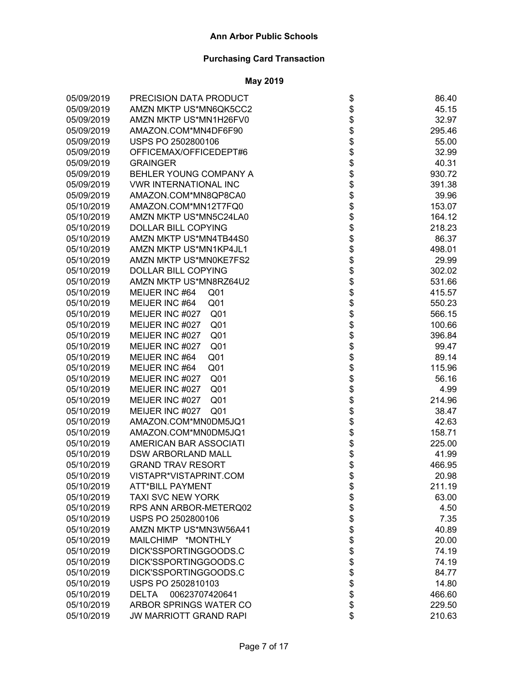| 05/09/2019 | PRECISION DATA PRODUCT             |                                      | 86.40  |
|------------|------------------------------------|--------------------------------------|--------|
| 05/09/2019 | AMZN MKTP US*MN6QK5CC2             |                                      | 45.15  |
| 05/09/2019 | AMZN MKTP US*MN1H26FV0             |                                      | 32.97  |
| 05/09/2019 | AMAZON.COM*MN4DF6F90               |                                      | 295.46 |
| 05/09/2019 | USPS PO 2502800106                 |                                      | 55.00  |
| 05/09/2019 | OFFICEMAX/OFFICEDEPT#6             |                                      | 32.99  |
| 05/09/2019 | <b>GRAINGER</b>                    |                                      | 40.31  |
| 05/09/2019 | BEHLER YOUNG COMPANY A             |                                      | 930.72 |
| 05/09/2019 | <b>VWR INTERNATIONAL INC</b>       |                                      | 391.38 |
| 05/09/2019 | AMAZON.COM*MN8QP8CA0               |                                      | 39.96  |
| 05/10/2019 | AMAZON.COM*MN12T7FQ0               |                                      | 153.07 |
| 05/10/2019 | AMZN MKTP US*MN5C24LA0             |                                      | 164.12 |
| 05/10/2019 | <b>DOLLAR BILL COPYING</b>         |                                      | 218.23 |
| 05/10/2019 | AMZN MKTP US*MN4TB44S0             |                                      | 86.37  |
| 05/10/2019 | AMZN MKTP US*MN1KP4JL1             |                                      | 498.01 |
| 05/10/2019 | AMZN MKTP US*MN0KE7FS2             |                                      | 29.99  |
| 05/10/2019 | DOLLAR BILL COPYING                |                                      | 302.02 |
| 05/10/2019 | AMZN MKTP US*MN8RZ64U2             |                                      | 531.66 |
| 05/10/2019 | MEIJER INC #64<br>Q <sub>01</sub>  |                                      | 415.57 |
| 05/10/2019 | MEIJER INC #64<br>Q <sub>01</sub>  |                                      | 550.23 |
| 05/10/2019 | MEIJER INC #027<br>Q <sub>01</sub> |                                      | 566.15 |
| 05/10/2019 | MEIJER INC #027<br>Q <sub>01</sub> |                                      | 100.66 |
| 05/10/2019 | MEIJER INC #027<br>Q <sub>01</sub> |                                      | 396.84 |
| 05/10/2019 | MEIJER INC #027<br>Q <sub>01</sub> |                                      | 99.47  |
| 05/10/2019 | MEIJER INC #64<br>Q <sub>01</sub>  |                                      | 89.14  |
| 05/10/2019 | MEIJER INC #64<br>Q <sub>01</sub>  | ֍֎֍֍֍֍֍֍֍֍֍֍֍֍֍֍֍֍֍֍֍֍֍֍֍֍֍֍֍֍֍֍֍֍֍֍ | 115.96 |
| 05/10/2019 | MEIJER INC #027<br>Q <sub>01</sub> |                                      | 56.16  |
| 05/10/2019 | MEIJER INC #027<br>Q <sub>01</sub> |                                      | 4.99   |
| 05/10/2019 | MEIJER INC #027<br>Q <sub>01</sub> |                                      | 214.96 |
| 05/10/2019 | MEIJER INC #027<br>Q <sub>01</sub> |                                      | 38.47  |
| 05/10/2019 | AMAZON.COM*MN0DM5JQ1               |                                      | 42.63  |
| 05/10/2019 | AMAZON.COM*MN0DM5JQ1               |                                      | 158.71 |
| 05/10/2019 | AMERICAN BAR ASSOCIATI             |                                      | 225.00 |
| 05/10/2019 | <b>DSW ARBORLAND MALL</b>          |                                      | 41.99  |
| 05/10/2019 | <b>GRAND TRAV RESORT</b>           |                                      | 466.95 |
| 05/10/2019 | VISTAPR*VISTAPRINT.COM             |                                      | 20.98  |
| 05/10/2019 | <b>ATT*BILL PAYMENT</b>            | \$                                   | 211.19 |
| 05/10/2019 | <b>TAXI SVC NEW YORK</b>           |                                      | 63.00  |
| 05/10/2019 | RPS ANN ARBOR-METERQ02             |                                      | 4.50   |
| 05/10/2019 | USPS PO 2502800106                 |                                      | 7.35   |
| 05/10/2019 | AMZN MKTP US*MN3W56A41             |                                      | 40.89  |
| 05/10/2019 | MAILCHIMP *MONTHLY                 |                                      | 20.00  |
| 05/10/2019 | DICK'SSPORTINGGOODS.C              |                                      | 74.19  |
| 05/10/2019 | DICK'SSPORTINGGOODS.C              |                                      | 74.19  |
| 05/10/2019 | DICK'SSPORTINGGOODS.C              | <b>おおまままままままま</b>                    | 84.77  |
| 05/10/2019 | USPS PO 2502810103                 |                                      | 14.80  |
| 05/10/2019 | 00623707420641<br><b>DELTA</b>     |                                      | 466.60 |
| 05/10/2019 | ARBOR SPRINGS WATER CO             |                                      | 229.50 |
| 05/10/2019 | <b>JW MARRIOTT GRAND RAPI</b>      | \$                                   | 210.63 |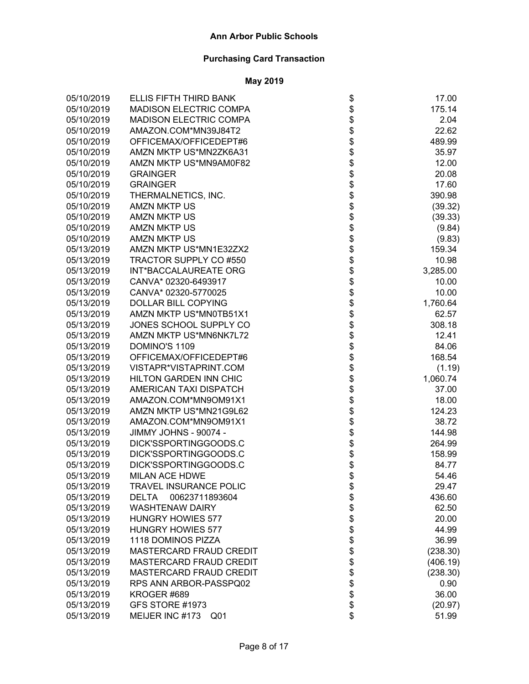| 05/10/2019 | ELLIS FIFTH THIRD BANK         |                                      | 17.00    |
|------------|--------------------------------|--------------------------------------|----------|
| 05/10/2019 | <b>MADISON ELECTRIC COMPA</b>  |                                      | 175.14   |
| 05/10/2019 | <b>MADISON ELECTRIC COMPA</b>  |                                      | 2.04     |
| 05/10/2019 | AMAZON.COM*MN39J84T2           |                                      | 22.62    |
| 05/10/2019 | OFFICEMAX/OFFICEDEPT#6         |                                      | 489.99   |
| 05/10/2019 | AMZN MKTP US*MN2ZK6A31         |                                      | 35.97    |
| 05/10/2019 | AMZN MKTP US*MN9AM0F82         |                                      | 12.00    |
| 05/10/2019 | <b>GRAINGER</b>                |                                      | 20.08    |
| 05/10/2019 | <b>GRAINGER</b>                |                                      | 17.60    |
| 05/10/2019 | THERMALNETICS, INC.            |                                      | 390.98   |
| 05/10/2019 | <b>AMZN MKTP US</b>            |                                      | (39.32)  |
| 05/10/2019 | <b>AMZN MKTP US</b>            |                                      | (39.33)  |
| 05/10/2019 | <b>AMZN MKTP US</b>            |                                      | (9.84)   |
| 05/10/2019 | <b>AMZN MKTP US</b>            |                                      | (9.83)   |
| 05/13/2019 | AMZN MKTP US*MN1E32ZX2         |                                      | 159.34   |
| 05/13/2019 | TRACTOR SUPPLY CO #550         |                                      | 10.98    |
| 05/13/2019 | INT*BACCALAUREATE ORG          |                                      | 3,285.00 |
| 05/13/2019 | CANVA* 02320-6493917           |                                      | 10.00    |
| 05/13/2019 | CANVA* 02320-5770025           |                                      | 10.00    |
| 05/13/2019 | <b>DOLLAR BILL COPYING</b>     |                                      | 1,760.64 |
| 05/13/2019 | AMZN MKTP US*MN0TB51X1         |                                      | 62.57    |
| 05/13/2019 | JONES SCHOOL SUPPLY CO         |                                      | 308.18   |
| 05/13/2019 | AMZN MKTP US*MN6NK7L72         |                                      | 12.41    |
| 05/13/2019 | DOMINO'S 1109                  |                                      | 84.06    |
| 05/13/2019 | OFFICEMAX/OFFICEDEPT#6         |                                      | 168.54   |
| 05/13/2019 | VISTAPR*VISTAPRINT.COM         | ֍֍֍֍֍֍֍֍֍֍֍֍֍֍֍֍֍֍֍֍֍֍֍֍֍֍֍֍֍֍֍֍֍֍֍֍ | (1.19)   |
| 05/13/2019 | <b>HILTON GARDEN INN CHIC</b>  |                                      | 1,060.74 |
| 05/13/2019 | AMERICAN TAXI DISPATCH         |                                      | 37.00    |
| 05/13/2019 | AMAZON.COM*MN9OM91X1           |                                      | 18.00    |
| 05/13/2019 | AMZN MKTP US*MN21G9L62         |                                      | 124.23   |
| 05/13/2019 | AMAZON.COM*MN9OM91X1           |                                      | 38.72    |
| 05/13/2019 | JIMMY JOHNS - 90074 -          |                                      | 144.98   |
| 05/13/2019 | DICK'SSPORTINGGOODS.C          |                                      | 264.99   |
| 05/13/2019 | DICK'SSPORTINGGOODS.C          |                                      | 158.99   |
| 05/13/2019 | DICK'SSPORTINGGOODS.C          |                                      | 84.77    |
| 05/13/2019 | MILAN ACE HDWE                 |                                      | 54.46    |
| 05/13/2019 | <b>TRAVEL INSURANCE POLIC</b>  | \$                                   | 29.47    |
| 05/13/2019 | <b>DELTA</b><br>00623711893604 |                                      | 436.60   |
| 05/13/2019 | <b>WASHTENAW DAIRY</b>         |                                      | 62.50    |
| 05/13/2019 | <b>HUNGRY HOWIES 577</b>       |                                      | 20.00    |
| 05/13/2019 | <b>HUNGRY HOWIES 577</b>       |                                      | 44.99    |
| 05/13/2019 | 1118 DOMINOS PIZZA             |                                      | 36.99    |
| 05/13/2019 | MASTERCARD FRAUD CREDIT        |                                      | (238.30) |
| 05/13/2019 | MASTERCARD FRAUD CREDIT        |                                      | (406.19) |
| 05/13/2019 | MASTERCARD FRAUD CREDIT        |                                      | (238.30) |
| 05/13/2019 | RPS ANN ARBOR-PASSPQ02         |                                      | 0.90     |
| 05/13/2019 | KROGER #689                    |                                      | 36.00    |
| 05/13/2019 | GFS STORE #1973                |                                      | (20.97)  |
| 05/13/2019 | MEIJER INC #173 Q01            | <b>8 8 9 8 8 8 9 8 9 8 9 8</b>       | 51.99    |
|            |                                |                                      |          |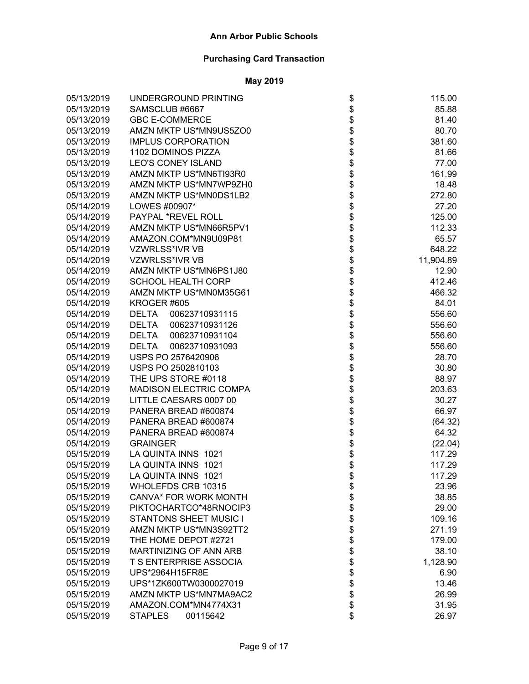| 05/13/2019 | UNDERGROUND PRINTING           | \$                                 | 115.00    |
|------------|--------------------------------|------------------------------------|-----------|
| 05/13/2019 | SAMSCLUB #6667                 |                                    | 85.88     |
| 05/13/2019 | <b>GBC E-COMMERCE</b>          |                                    | 81.40     |
| 05/13/2019 | AMZN MKTP US*MN9US5ZO0         |                                    | 80.70     |
| 05/13/2019 | <b>IMPLUS CORPORATION</b>      |                                    | 381.60    |
| 05/13/2019 | 1102 DOMINOS PIZZA             |                                    | 81.66     |
| 05/13/2019 | <b>LEO'S CONEY ISLAND</b>      |                                    | 77.00     |
| 05/13/2019 | AMZN MKTP US*MN6TI93R0         |                                    | 161.99    |
| 05/13/2019 | AMZN MKTP US*MN7WP9ZH0         |                                    | 18.48     |
| 05/13/2019 | AMZN MKTP US*MN0DS1LB2         |                                    | 272.80    |
| 05/14/2019 | LOWES #00907*                  |                                    | 27.20     |
| 05/14/2019 | PAYPAL *REVEL ROLL             |                                    | 125.00    |
| 05/14/2019 | AMZN MKTP US*MN66R5PV1         |                                    | 112.33    |
| 05/14/2019 | AMAZON.COM*MN9U09P81           |                                    | 65.57     |
| 05/14/2019 | VZWRLSS*IVR VB                 |                                    | 648.22    |
| 05/14/2019 | VZWRLSS*IVR VB                 |                                    | 11,904.89 |
| 05/14/2019 | AMZN MKTP US*MN6PS1J80         |                                    | 12.90     |
| 05/14/2019 | <b>SCHOOL HEALTH CORP</b>      |                                    | 412.46    |
| 05/14/2019 | AMZN MKTP US*MN0M35G61         |                                    | 466.32    |
| 05/14/2019 | KROGER #605                    |                                    | 84.01     |
| 05/14/2019 | <b>DELTA</b><br>00623710931115 |                                    | 556.60    |
| 05/14/2019 | <b>DELTA</b><br>00623710931126 | ֍֍֍֍֍֍֍֍֍֍֍֍֍֍֍֍֍֍֍֍֍֍֍֍֍֍֍֍֍֍֍֍֍֍ | 556.60    |
| 05/14/2019 | <b>DELTA</b><br>00623710931104 |                                    | 556.60    |
| 05/14/2019 | <b>DELTA</b><br>00623710931093 |                                    | 556.60    |
| 05/14/2019 | USPS PO 2576420906             |                                    | 28.70     |
| 05/14/2019 | USPS PO 2502810103             |                                    | 30.80     |
| 05/14/2019 | THE UPS STORE #0118            |                                    | 88.97     |
| 05/14/2019 | <b>MADISON ELECTRIC COMPA</b>  |                                    | 203.63    |
| 05/14/2019 | LITTLE CAESARS 0007 00         |                                    | 30.27     |
| 05/14/2019 | PANERA BREAD #600874           |                                    | 66.97     |
| 05/14/2019 | PANERA BREAD #600874           |                                    | (64.32)   |
| 05/14/2019 | PANERA BREAD #600874           |                                    | 64.32     |
| 05/14/2019 | <b>GRAINGER</b>                |                                    | (22.04)   |
| 05/15/2019 | LA QUINTA INNS 1021            |                                    | 117.29    |
| 05/15/2019 | LA QUINTA INNS 1021            |                                    | 117.29    |
| 05/15/2019 | LA QUINTA INNS 1021            |                                    | 117.29    |
| 05/15/2019 | WHOLEFDS CRB 10315             | \$                                 | 23.96     |
| 05/15/2019 | <b>CANVA* FOR WORK MONTH</b>   |                                    | 38.85     |
| 05/15/2019 | PIKTOCHARTCO*48RNOCIP3         |                                    | 29.00     |
| 05/15/2019 | <b>STANTONS SHEET MUSIC I</b>  |                                    | 109.16    |
| 05/15/2019 | AMZN MKTP US*MN3S92TT2         |                                    | 271.19    |
| 05/15/2019 | THE HOME DEPOT #2721           |                                    | 179.00    |
| 05/15/2019 | MARTINIZING OF ANN ARB         |                                    | 38.10     |
| 05/15/2019 | <b>T S ENTERPRISE ASSOCIA</b>  |                                    | 1,128.90  |
| 05/15/2019 | UPS*2964H15FR8E                |                                    | 6.90      |
| 05/15/2019 | UPS*1ZK600TW0300027019         | \$\$\$\$\$\$\$\$\$\$\$\$           | 13.46     |
| 05/15/2019 | AMZN MKTP US*MN7MA9AC2         |                                    | 26.99     |
| 05/15/2019 | AMAZON.COM*MN4774X31           |                                    | 31.95     |
| 05/15/2019 | <b>STAPLES</b><br>00115642     | \$                                 | 26.97     |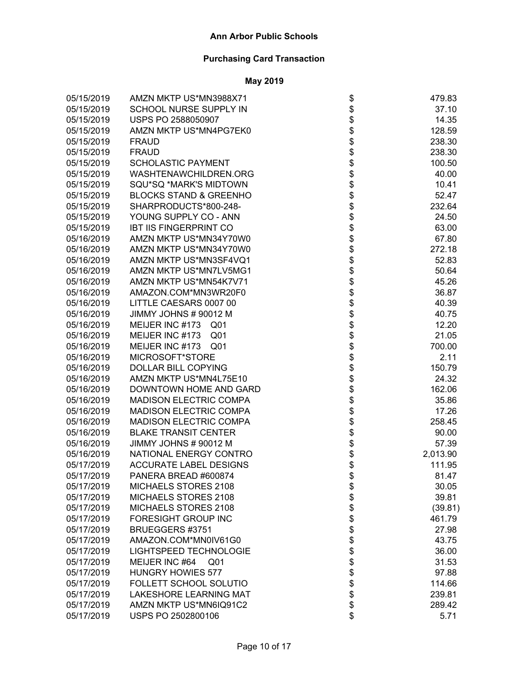| 05/15/2019 | AMZN MKTP US*MN3988X71            |                                      | 479.83   |
|------------|-----------------------------------|--------------------------------------|----------|
| 05/15/2019 | <b>SCHOOL NURSE SUPPLY IN</b>     |                                      | 37.10    |
| 05/15/2019 | USPS PO 2588050907                |                                      | 14.35    |
| 05/15/2019 | AMZN MKTP US*MN4PG7EK0            |                                      | 128.59   |
| 05/15/2019 | <b>FRAUD</b>                      |                                      | 238.30   |
| 05/15/2019 | <b>FRAUD</b>                      |                                      | 238.30   |
| 05/15/2019 | <b>SCHOLASTIC PAYMENT</b>         |                                      | 100.50   |
| 05/15/2019 | WASHTENAWCHILDREN.ORG             |                                      | 40.00    |
| 05/15/2019 | SQU*SQ *MARK'S MIDTOWN            |                                      | 10.41    |
| 05/15/2019 | <b>BLOCKS STAND &amp; GREENHO</b> |                                      | 52.47    |
| 05/15/2019 | SHARPRODUCTS*800-248-             |                                      | 232.64   |
| 05/15/2019 | YOUNG SUPPLY CO - ANN             |                                      | 24.50    |
| 05/15/2019 | <b>IBT IIS FINGERPRINT CO</b>     |                                      | 63.00    |
| 05/16/2019 | AMZN MKTP US*MN34Y70W0            |                                      | 67.80    |
| 05/16/2019 | AMZN MKTP US*MN34Y70W0            |                                      | 272.18   |
| 05/16/2019 | AMZN MKTP US*MN3SF4VQ1            |                                      | 52.83    |
| 05/16/2019 | AMZN MKTP US*MN7LV5MG1            |                                      | 50.64    |
| 05/16/2019 | AMZN MKTP US*MN54K7V71            |                                      | 45.26    |
| 05/16/2019 | AMAZON.COM*MN3WR20F0              |                                      | 36.87    |
| 05/16/2019 | LITTLE CAESARS 0007 00            |                                      | 40.39    |
| 05/16/2019 | JIMMY JOHNS # 90012 M             |                                      | 40.75    |
| 05/16/2019 | MEIJER INC #173 Q01               |                                      | 12.20    |
| 05/16/2019 | MEIJER INC #173<br>Q01            |                                      | 21.05    |
| 05/16/2019 | MEIJER INC #173 Q01               |                                      | 700.00   |
| 05/16/2019 | MICROSOFT*STORE                   | ֍֍֍֍֍֍֍֍֍֍֍֍֍֍֍֍֍֍֍֍֍֍֍֍֍֍֍֍֍֍֍֍֍֍֍֍ | 2.11     |
| 05/16/2019 | <b>DOLLAR BILL COPYING</b>        |                                      | 150.79   |
| 05/16/2019 | AMZN MKTP US*MN4L75E10            |                                      | 24.32    |
| 05/16/2019 | DOWNTOWN HOME AND GARD            |                                      | 162.06   |
| 05/16/2019 | <b>MADISON ELECTRIC COMPA</b>     |                                      | 35.86    |
| 05/16/2019 | <b>MADISON ELECTRIC COMPA</b>     |                                      | 17.26    |
| 05/16/2019 | <b>MADISON ELECTRIC COMPA</b>     |                                      | 258.45   |
| 05/16/2019 | <b>BLAKE TRANSIT CENTER</b>       |                                      | 90.00    |
| 05/16/2019 | JIMMY JOHNS # 90012 M             |                                      | 57.39    |
| 05/16/2019 | NATIONAL ENERGY CONTRO            |                                      | 2,013.90 |
| 05/17/2019 | <b>ACCURATE LABEL DESIGNS</b>     |                                      | 111.95   |
| 05/17/2019 | PANERA BREAD #600874              |                                      | 81.47    |
| 05/17/2019 | <b>MICHAELS STORES 2108</b>       | \$                                   | 30.05    |
| 05/17/2019 | MICHAELS STORES 2108              |                                      | 39.81    |
| 05/17/2019 | MICHAELS STORES 2108              |                                      | (39.81)  |
| 05/17/2019 | <b>FORESIGHT GROUP INC</b>        |                                      | 461.79   |
| 05/17/2019 | BRUEGGERS #3751                   |                                      | 27.98    |
| 05/17/2019 | AMAZON.COM*MN0IV61G0              |                                      | 43.75    |
| 05/17/2019 | <b>LIGHTSPEED TECHNOLOGIE</b>     |                                      | 36.00    |
| 05/17/2019 | MEIJER INC #64<br>Q <sub>01</sub> |                                      | 31.53    |
| 05/17/2019 | <b>HUNGRY HOWIES 577</b>          |                                      | 97.88    |
| 05/17/2019 | FOLLETT SCHOOL SOLUTIO            | <b>おおおおおおおおおお</b>                    | 114.66   |
| 05/17/2019 | LAKESHORE LEARNING MAT            |                                      | 239.81   |
| 05/17/2019 | AMZN MKTP US*MN6IQ91C2            |                                      | 289.42   |
| 05/17/2019 | USPS PO 2502800106                | \$                                   | 5.71     |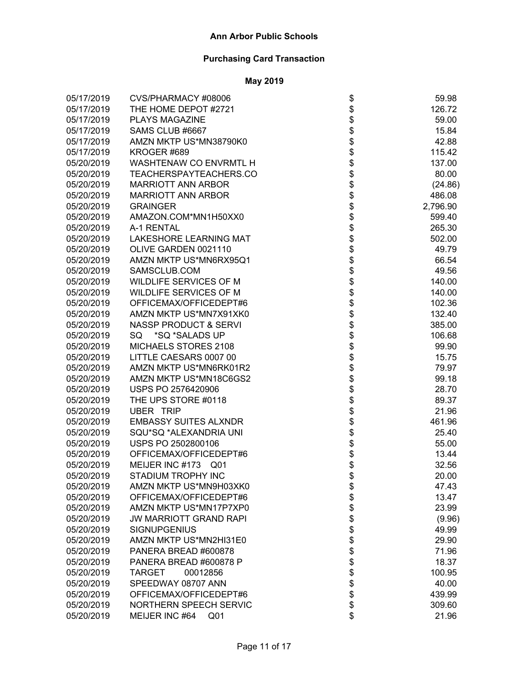| 05/17/2019 | CVS/PHARMACY #08006               |                    | 59.98    |
|------------|-----------------------------------|--------------------|----------|
| 05/17/2019 | THE HOME DEPOT #2721              |                    | 126.72   |
| 05/17/2019 | <b>PLAYS MAGAZINE</b>             |                    | 59.00    |
| 05/17/2019 | SAMS CLUB #6667                   |                    | 15.84    |
| 05/17/2019 | AMZN MKTP US*MN38790K0            |                    | 42.88    |
| 05/17/2019 | KROGER #689                       |                    | 115.42   |
| 05/20/2019 | <b>WASHTENAW CO ENVRMTL H</b>     |                    | 137.00   |
| 05/20/2019 | TEACHERSPAYTEACHERS.CO            |                    | 80.00    |
| 05/20/2019 | <b>MARRIOTT ANN ARBOR</b>         |                    | (24.86)  |
| 05/20/2019 | <b>MARRIOTT ANN ARBOR</b>         |                    | 486.08   |
| 05/20/2019 | <b>GRAINGER</b>                   |                    | 2,796.90 |
| 05/20/2019 | AMAZON.COM*MN1H50XX0              |                    | 599.40   |
| 05/20/2019 | A-1 RENTAL                        |                    | 265.30   |
| 05/20/2019 | <b>LAKESHORE LEARNING MAT</b>     |                    | 502.00   |
| 05/20/2019 | OLIVE GARDEN 0021110              |                    | 49.79    |
| 05/20/2019 | AMZN MKTP US*MN6RX95Q1            |                    | 66.54    |
| 05/20/2019 | SAMSCLUB.COM                      |                    | 49.56    |
| 05/20/2019 | WILDLIFE SERVICES OF M            |                    | 140.00   |
| 05/20/2019 | <b>WILDLIFE SERVICES OF M</b>     |                    | 140.00   |
| 05/20/2019 | OFFICEMAX/OFFICEDEPT#6            |                    | 102.36   |
| 05/20/2019 | AMZN MKTP US*MN7X91XK0            |                    | 132.40   |
| 05/20/2019 | <b>NASSP PRODUCT &amp; SERVI</b>  |                    | 385.00   |
| 05/20/2019 | *SQ *SALADS UP<br>SQ              |                    | 106.68   |
| 05/20/2019 | MICHAELS STORES 2108              |                    | 99.90    |
| 05/20/2019 | LITTLE CAESARS 0007 00            |                    | 15.75    |
| 05/20/2019 | AMZN MKTP US*MN6RK01R2            |                    | 79.97    |
| 05/20/2019 | AMZN MKTP US*MN18C6GS2            |                    | 99.18    |
| 05/20/2019 | USPS PO 2576420906                |                    | 28.70    |
| 05/20/2019 | THE UPS STORE #0118               |                    | 89.37    |
| 05/20/2019 | <b>UBER TRIP</b>                  |                    | 21.96    |
| 05/20/2019 | <b>EMBASSY SUITES ALXNDR</b>      |                    | 461.96   |
| 05/20/2019 | SQU*SQ *ALEXANDRIA UNI            |                    | 25.40    |
| 05/20/2019 | USPS PO 2502800106                |                    | 55.00    |
| 05/20/2019 | OFFICEMAX/OFFICEDEPT#6            |                    | 13.44    |
| 05/20/2019 | MEIJER INC #173 Q01               |                    | 32.56    |
| 05/20/2019 | STADIUM TROPHY INC                |                    | 20.00    |
| 05/20/2019 | AMZN MKTP US*MN9H03XK0            | \$                 | 47.43    |
| 05/20/2019 | OFFICEMAX/OFFICEDEPT#6            |                    | 13.47    |
| 05/20/2019 | AMZN MKTP US*MN17P7XP0            |                    | 23.99    |
| 05/20/2019 | <b>JW MARRIOTT GRAND RAPI</b>     |                    | (9.96)   |
| 05/20/2019 | <b>SIGNUPGENIUS</b>               |                    | 49.99    |
| 05/20/2019 | AMZN MKTP US*MN2HI31E0            |                    | 29.90    |
| 05/20/2019 | PANERA BREAD #600878              |                    | 71.96    |
| 05/20/2019 | PANERA BREAD #600878 P            |                    | 18.37    |
| 05/20/2019 | 00012856<br><b>TARGET</b>         |                    | 100.95   |
| 05/20/2019 | SPEEDWAY 08707 ANN                | <b>88888888888</b> | 40.00    |
| 05/20/2019 | OFFICEMAX/OFFICEDEPT#6            |                    | 439.99   |
| 05/20/2019 | NORTHERN SPEECH SERVIC            |                    | 309.60   |
| 05/20/2019 | MEIJER INC #64<br>Q <sub>01</sub> | \$                 | 21.96    |
|            |                                   |                    |          |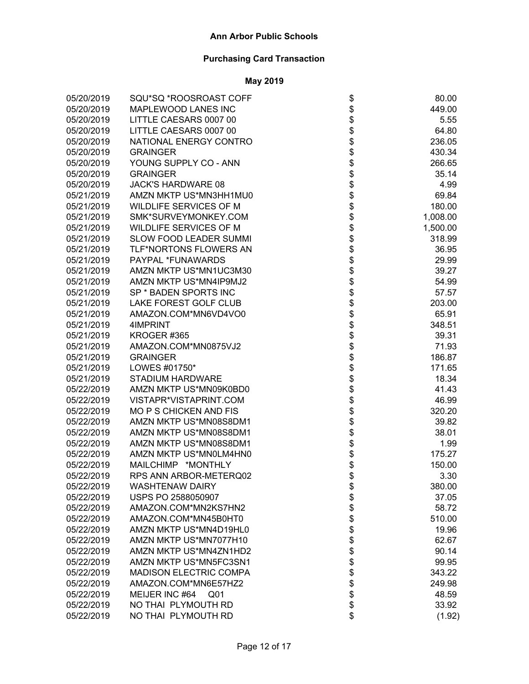| 05/20/2019 | SQU*SQ *ROOSROAST COFF        |                                      | 80.00    |
|------------|-------------------------------|--------------------------------------|----------|
| 05/20/2019 | <b>MAPLEWOOD LANES INC</b>    |                                      | 449.00   |
| 05/20/2019 | LITTLE CAESARS 0007 00        |                                      | 5.55     |
| 05/20/2019 | LITTLE CAESARS 0007 00        |                                      | 64.80    |
| 05/20/2019 | NATIONAL ENERGY CONTRO        |                                      | 236.05   |
| 05/20/2019 | <b>GRAINGER</b>               |                                      | 430.34   |
| 05/20/2019 | YOUNG SUPPLY CO - ANN         |                                      | 266.65   |
| 05/20/2019 | <b>GRAINGER</b>               |                                      | 35.14    |
| 05/20/2019 | <b>JACK'S HARDWARE 08</b>     |                                      | 4.99     |
| 05/21/2019 | AMZN MKTP US*MN3HH1MU0        |                                      | 69.84    |
| 05/21/2019 | WILDLIFE SERVICES OF M        |                                      | 180.00   |
| 05/21/2019 | SMK*SURVEYMONKEY.COM          |                                      | 1,008.00 |
| 05/21/2019 | WILDLIFE SERVICES OF M        |                                      | 1,500.00 |
| 05/21/2019 | <b>SLOW FOOD LEADER SUMMI</b> |                                      | 318.99   |
| 05/21/2019 | TLF*NORTONS FLOWERS AN        |                                      | 36.95    |
| 05/21/2019 | PAYPAL *FUNAWARDS             |                                      | 29.99    |
| 05/21/2019 | AMZN MKTP US*MN1UC3M30        |                                      | 39.27    |
| 05/21/2019 | AMZN MKTP US*MN4IP9MJ2        |                                      | 54.99    |
| 05/21/2019 | SP * BADEN SPORTS INC         |                                      | 57.57    |
| 05/21/2019 | <b>LAKE FOREST GOLF CLUB</b>  |                                      | 203.00   |
| 05/21/2019 | AMAZON.COM*MN6VD4VO0          |                                      | 65.91    |
| 05/21/2019 | 4IMPRINT                      |                                      | 348.51   |
| 05/21/2019 | KROGER #365                   |                                      | 39.31    |
| 05/21/2019 | AMAZON.COM*MN0875VJ2          |                                      | 71.93    |
| 05/21/2019 | <b>GRAINGER</b>               | ֍֍֍֍֍֍֍֍֍֍֍֍֍֍֍֍֍֍֍֍֍֍֍֍֍֍֍֍֍֍֍֍֍֍֍֍ | 186.87   |
| 05/21/2019 | LOWES #01750*                 |                                      | 171.65   |
| 05/21/2019 | <b>STADIUM HARDWARE</b>       |                                      | 18.34    |
| 05/22/2019 | AMZN MKTP US*MN09K0BD0        |                                      | 41.43    |
| 05/22/2019 | VISTAPR*VISTAPRINT.COM        |                                      | 46.99    |
| 05/22/2019 | <b>MO P S CHICKEN AND FIS</b> |                                      | 320.20   |
| 05/22/2019 | AMZN MKTP US*MN08S8DM1        |                                      | 39.82    |
| 05/22/2019 | AMZN MKTP US*MN08S8DM1        |                                      | 38.01    |
| 05/22/2019 | AMZN MKTP US*MN08S8DM1        |                                      | 1.99     |
| 05/22/2019 | AMZN MKTP US*MN0LM4HN0        |                                      | 175.27   |
| 05/22/2019 | MAILCHIMP *MONTHLY            |                                      | 150.00   |
| 05/22/2019 | RPS ANN ARBOR-METERQ02        |                                      | 3.30     |
| 05/22/2019 | <b>WASHTENAW DAIRY</b>        |                                      | 380.00   |
| 05/22/2019 | USPS PO 2588050907            |                                      | 37.05    |
| 05/22/2019 | AMAZON.COM*MN2KS7HN2          |                                      | 58.72    |
| 05/22/2019 | AMAZON.COM*MN45B0HT0          |                                      | 510.00   |
| 05/22/2019 | AMZN MKTP US*MN4D19HL0        |                                      | 19.96    |
| 05/22/2019 | AMZN MKTP US*MN7077H10        |                                      | 62.67    |
| 05/22/2019 | AMZN MKTP US*MN4ZN1HD2        |                                      | 90.14    |
| 05/22/2019 | AMZN MKTP US*MN5FC3SN1        |                                      | 99.95    |
| 05/22/2019 | <b>MADISON ELECTRIC COMPA</b> | \$\$\$\$\$\$\$\$\$\$\$\$\$           | 343.22   |
| 05/22/2019 | AMAZON.COM*MN6E57HZ2          |                                      | 249.98   |
| 05/22/2019 | MEIJER INC #64<br>Q01         |                                      | 48.59    |
| 05/22/2019 | NO THAI PLYMOUTH RD           |                                      | 33.92    |
| 05/22/2019 | NO THAI PLYMOUTH RD           | \$                                   | (1.92)   |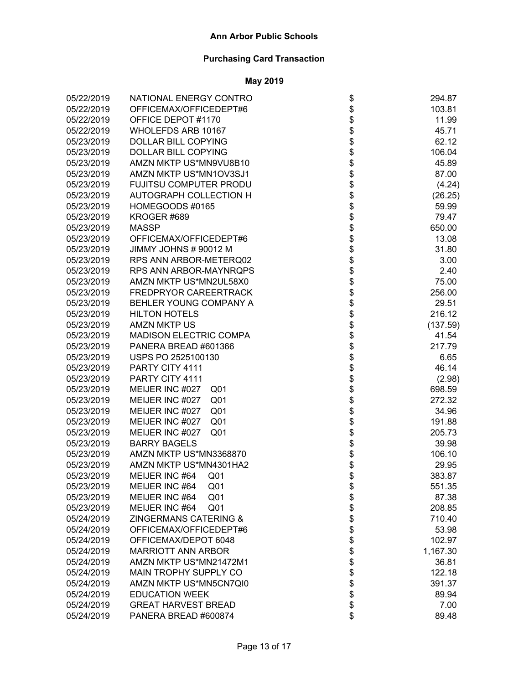| 05/22/2019 | NATIONAL ENERGY CONTRO             |                    | 294.87   |
|------------|------------------------------------|--------------------|----------|
| 05/22/2019 | OFFICEMAX/OFFICEDEPT#6             |                    | 103.81   |
| 05/22/2019 | OFFICE DEPOT #1170                 |                    | 11.99    |
| 05/22/2019 | WHOLEFDS ARB 10167                 |                    | 45.71    |
| 05/23/2019 | <b>DOLLAR BILL COPYING</b>         |                    | 62.12    |
| 05/23/2019 | <b>DOLLAR BILL COPYING</b>         |                    | 106.04   |
| 05/23/2019 | AMZN MKTP US*MN9VU8B10             |                    | 45.89    |
| 05/23/2019 | AMZN MKTP US*MN1OV3SJ1             |                    | 87.00    |
| 05/23/2019 | <b>FUJITSU COMPUTER PRODU</b>      |                    | (4.24)   |
| 05/23/2019 | AUTOGRAPH COLLECTION H             |                    | (26.25)  |
| 05/23/2019 | HOMEGOODS #0165                    |                    | 59.99    |
| 05/23/2019 | KROGER #689                        |                    | 79.47    |
| 05/23/2019 | <b>MASSP</b>                       |                    | 650.00   |
| 05/23/2019 | OFFICEMAX/OFFICEDEPT#6             |                    | 13.08    |
| 05/23/2019 | JIMMY JOHNS # 90012 M              |                    | 31.80    |
| 05/23/2019 | RPS ANN ARBOR-METERQ02             |                    | 3.00     |
| 05/23/2019 | RPS ANN ARBOR-MAYNRQPS             |                    | 2.40     |
| 05/23/2019 | AMZN MKTP US*MN2UL58X0             |                    | 75.00    |
| 05/23/2019 | <b>FREDPRYOR CAREERTRACK</b>       |                    | 256.00   |
| 05/23/2019 | BEHLER YOUNG COMPANY A             |                    | 29.51    |
| 05/23/2019 | <b>HILTON HOTELS</b>               |                    | 216.12   |
| 05/23/2019 | <b>AMZN MKTP US</b>                |                    | (137.59) |
| 05/23/2019 | <b>MADISON ELECTRIC COMPA</b>      |                    | 41.54    |
| 05/23/2019 | PANERA BREAD #601366               |                    | 217.79   |
| 05/23/2019 | USPS PO 2525100130                 |                    | 6.65     |
| 05/23/2019 | PARTY CITY 4111                    |                    | 46.14    |
| 05/23/2019 | PARTY CITY 4111                    |                    | (2.98)   |
| 05/23/2019 | MEIJER INC #027<br>Q <sub>01</sub> |                    | 698.59   |
| 05/23/2019 | MEIJER INC #027<br>Q <sub>01</sub> |                    | 272.32   |
| 05/23/2019 | MEIJER INC #027<br>Q <sub>01</sub> |                    | 34.96    |
| 05/23/2019 | MEIJER INC #027<br>Q <sub>01</sub> |                    | 191.88   |
| 05/23/2019 | MEIJER INC #027<br>Q <sub>01</sub> |                    | 205.73   |
| 05/23/2019 | <b>BARRY BAGELS</b>                |                    | 39.98    |
| 05/23/2019 | AMZN MKTP US*MN3368870             |                    | 106.10   |
| 05/23/2019 | AMZN MKTP US*MN4301HA2             |                    | 29.95    |
| 05/23/2019 | MEIJER INC #64<br>Q <sub>01</sub>  |                    | 383.87   |
| 05/23/2019 | MEIJER INC #64<br>Q <sub>01</sub>  | \$                 | 551.35   |
| 05/23/2019 | MEIJER INC #64<br>Q <sub>01</sub>  |                    | 87.38    |
| 05/23/2019 | MEIJER INC #64<br>Q <sub>01</sub>  |                    | 208.85   |
| 05/24/2019 | <b>ZINGERMANS CATERING &amp;</b>   |                    | 710.40   |
| 05/24/2019 | OFFICEMAX/OFFICEDEPT#6             |                    | 53.98    |
| 05/24/2019 | OFFICEMAX/DEPOT 6048               |                    | 102.97   |
| 05/24/2019 | <b>MARRIOTT ANN ARBOR</b>          |                    | 1,167.30 |
| 05/24/2019 | AMZN MKTP US*MN21472M1             |                    | 36.81    |
| 05/24/2019 | <b>MAIN TROPHY SUPPLY CO</b>       |                    | 122.18   |
| 05/24/2019 | AMZN MKTP US*MN5CN7QI0             | <b>88888888888</b> | 391.37   |
| 05/24/2019 | <b>EDUCATION WEEK</b>              |                    | 89.94    |
| 05/24/2019 | <b>GREAT HARVEST BREAD</b>         |                    | 7.00     |
| 05/24/2019 | PANERA BREAD #600874               | \$                 | 89.48    |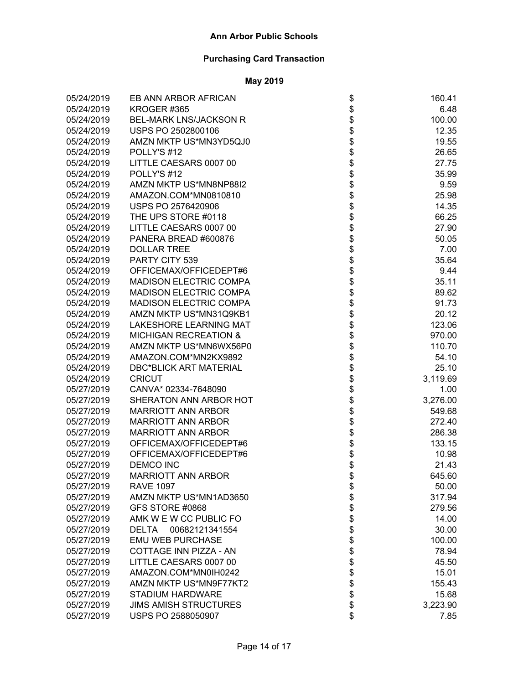| 05/24/2019 | EB ANN ARBOR AFRICAN             |                                      | 160.41   |
|------------|----------------------------------|--------------------------------------|----------|
| 05/24/2019 | KROGER#365                       |                                      | 6.48     |
| 05/24/2019 | <b>BEL-MARK LNS/JACKSON R</b>    |                                      | 100.00   |
| 05/24/2019 | USPS PO 2502800106               |                                      | 12.35    |
| 05/24/2019 | AMZN MKTP US*MN3YD5QJ0           | ֍֍֍֍֍֍֍֍֍֍֍֍֍֍֍֍֍֍֍֍֍֍֍֍֍֍֍֍֍֍֍֍֍֍֍֍ | 19.55    |
| 05/24/2019 | POLLY'S #12                      |                                      | 26.65    |
| 05/24/2019 | LITTLE CAESARS 0007 00           |                                      | 27.75    |
| 05/24/2019 | POLLY'S #12                      |                                      | 35.99    |
| 05/24/2019 | AMZN MKTP US*MN8NP88I2           |                                      | 9.59     |
| 05/24/2019 | AMAZON.COM*MN0810810             |                                      | 25.98    |
| 05/24/2019 | USPS PO 2576420906               |                                      | 14.35    |
| 05/24/2019 | THE UPS STORE #0118              |                                      | 66.25    |
| 05/24/2019 | LITTLE CAESARS 0007 00           |                                      | 27.90    |
| 05/24/2019 | PANERA BREAD #600876             |                                      | 50.05    |
| 05/24/2019 | <b>DOLLAR TREE</b>               |                                      | 7.00     |
| 05/24/2019 | PARTY CITY 539                   |                                      | 35.64    |
| 05/24/2019 | OFFICEMAX/OFFICEDEPT#6           |                                      | 9.44     |
| 05/24/2019 | <b>MADISON ELECTRIC COMPA</b>    |                                      | 35.11    |
| 05/24/2019 | <b>MADISON ELECTRIC COMPA</b>    |                                      | 89.62    |
| 05/24/2019 | MADISON ELECTRIC COMPA           |                                      | 91.73    |
| 05/24/2019 | AMZN MKTP US*MN31Q9KB1           |                                      | 20.12    |
| 05/24/2019 | <b>LAKESHORE LEARNING MAT</b>    |                                      | 123.06   |
| 05/24/2019 | <b>MICHIGAN RECREATION &amp;</b> |                                      | 970.00   |
| 05/24/2019 | AMZN MKTP US*MN6WX56P0           |                                      | 110.70   |
| 05/24/2019 | AMAZON.COM*MN2KX9892             |                                      | 54.10    |
| 05/24/2019 | <b>DBC*BLICK ART MATERIAL</b>    |                                      | 25.10    |
| 05/24/2019 | <b>CRICUT</b>                    |                                      | 3,119.69 |
| 05/27/2019 | CANVA* 02334-7648090             |                                      | 1.00     |
| 05/27/2019 | SHERATON ANN ARBOR HOT           |                                      | 3,276.00 |
| 05/27/2019 | <b>MARRIOTT ANN ARBOR</b>        |                                      | 549.68   |
| 05/27/2019 | <b>MARRIOTT ANN ARBOR</b>        |                                      | 272.40   |
| 05/27/2019 | <b>MARRIOTT ANN ARBOR</b>        |                                      | 286.38   |
| 05/27/2019 | OFFICEMAX/OFFICEDEPT#6           |                                      | 133.15   |
| 05/27/2019 | OFFICEMAX/OFFICEDEPT#6           |                                      | 10.98    |
| 05/27/2019 | <b>DEMCO INC</b>                 |                                      | 21.43    |
| 05/27/2019 | <b>MARRIOTT ANN ARBOR</b>        |                                      | 645.60   |
| 05/27/2019 | <b>RAVE 1097</b>                 |                                      | 50.00    |
| 05/27/2019 | AMZN MKTP US*MN1AD3650           |                                      | 317.94   |
| 05/27/2019 | GFS STORE #0868                  |                                      | 279.56   |
| 05/27/2019 | AMK W E W CC PUBLIC FO           |                                      | 14.00    |
| 05/27/2019 | 00682121341554<br><b>DELTA</b>   |                                      | 30.00    |
| 05/27/2019 | <b>EMU WEB PURCHASE</b>          |                                      | 100.00   |
| 05/27/2019 | COTTAGE INN PIZZA - AN           |                                      | 78.94    |
| 05/27/2019 | LITTLE CAESARS 0007 00           | \$\$\$\$\$\$\$\$\$\$\$\$\$           | 45.50    |
| 05/27/2019 | AMAZON.COM*MN0IH0242             |                                      | 15.01    |
| 05/27/2019 | AMZN MKTP US*MN9F77KT2           |                                      | 155.43   |
| 05/27/2019 | <b>STADIUM HARDWARE</b>          |                                      | 15.68    |
| 05/27/2019 | <b>JIMS AMISH STRUCTURES</b>     |                                      | 3,223.90 |
| 05/27/2019 | USPS PO 2588050907               | \$                                   | 7.85     |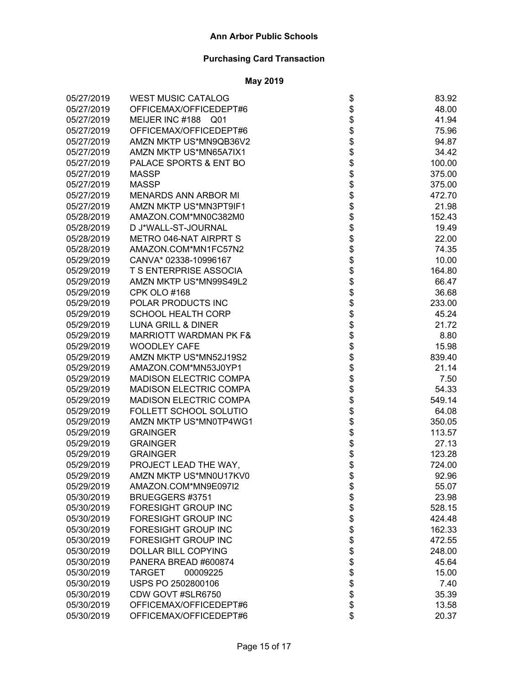| 05/27/2019 | <b>WEST MUSIC CATALOG</b>         |                    | 83.92  |
|------------|-----------------------------------|--------------------|--------|
| 05/27/2019 | OFFICEMAX/OFFICEDEPT#6            |                    | 48.00  |
| 05/27/2019 | MEIJER INC #188 Q01               |                    | 41.94  |
| 05/27/2019 | OFFICEMAX/OFFICEDEPT#6            |                    | 75.96  |
| 05/27/2019 | AMZN MKTP US*MN9QB36V2            |                    | 94.87  |
| 05/27/2019 | AMZN MKTP US*MN65A7IX1            |                    | 34.42  |
| 05/27/2019 | PALACE SPORTS & ENT BO            |                    | 100.00 |
| 05/27/2019 | <b>MASSP</b>                      |                    | 375.00 |
| 05/27/2019 | <b>MASSP</b>                      |                    | 375.00 |
| 05/27/2019 | <b>MENARDS ANN ARBOR MI</b>       |                    | 472.70 |
| 05/27/2019 | AMZN MKTP US*MN3PT9IF1            |                    | 21.98  |
| 05/28/2019 | AMAZON.COM*MN0C382M0              |                    | 152.43 |
| 05/28/2019 | D J*WALL-ST-JOURNAL               |                    | 19.49  |
| 05/28/2019 | <b>METRO 046-NAT AIRPRT S</b>     |                    | 22.00  |
| 05/28/2019 | AMAZON.COM*MN1FC57N2              |                    | 74.35  |
| 05/29/2019 | CANVA* 02338-10996167             |                    | 10.00  |
| 05/29/2019 | <b>T S ENTERPRISE ASSOCIA</b>     |                    | 164.80 |
| 05/29/2019 | AMZN MKTP US*MN99S49L2            |                    | 66.47  |
| 05/29/2019 | <b>CPK OLO #168</b>               |                    | 36.68  |
| 05/29/2019 | POLAR PRODUCTS INC                |                    | 233.00 |
| 05/29/2019 | <b>SCHOOL HEALTH CORP</b>         |                    | 45.24  |
| 05/29/2019 | <b>LUNA GRILL &amp; DINER</b>     |                    | 21.72  |
| 05/29/2019 | <b>MARRIOTT WARDMAN PK F&amp;</b> |                    | 8.80   |
| 05/29/2019 | <b>WOODLEY CAFE</b>               |                    | 15.98  |
| 05/29/2019 | AMZN MKTP US*MN52J19S2            |                    | 839.40 |
| 05/29/2019 | AMAZON.COM*MN53J0YP1              |                    | 21.14  |
| 05/29/2019 | <b>MADISON ELECTRIC COMPA</b>     |                    | 7.50   |
| 05/29/2019 | <b>MADISON ELECTRIC COMPA</b>     |                    | 54.33  |
| 05/29/2019 | <b>MADISON ELECTRIC COMPA</b>     |                    | 549.14 |
| 05/29/2019 | FOLLETT SCHOOL SOLUTIO            |                    | 64.08  |
| 05/29/2019 | AMZN MKTP US*MN0TP4WG1            |                    | 350.05 |
| 05/29/2019 | <b>GRAINGER</b>                   |                    | 113.57 |
| 05/29/2019 | <b>GRAINGER</b>                   |                    | 27.13  |
| 05/29/2019 | <b>GRAINGER</b>                   |                    | 123.28 |
| 05/29/2019 | PROJECT LEAD THE WAY,             |                    | 724.00 |
| 05/29/2019 | AMZN MKTP US*MN0U17KV0            |                    | 92.96  |
| 05/29/2019 | AMAZON.COM*MN9E097I2              | \$                 | 55.07  |
| 05/30/2019 | BRUEGGERS #3751                   |                    | 23.98  |
| 05/30/2019 | <b>FORESIGHT GROUP INC</b>        |                    | 528.15 |
| 05/30/2019 | <b>FORESIGHT GROUP INC</b>        |                    | 424.48 |
| 05/30/2019 | <b>FORESIGHT GROUP INC</b>        |                    | 162.33 |
| 05/30/2019 | <b>FORESIGHT GROUP INC</b>        |                    | 472.55 |
| 05/30/2019 | <b>DOLLAR BILL COPYING</b>        |                    | 248.00 |
| 05/30/2019 | PANERA BREAD #600874              |                    | 45.64  |
| 05/30/2019 | <b>TARGET</b><br>00009225         |                    | 15.00  |
| 05/30/2019 | USPS PO 2502800106                | <b>88888888888</b> | 7.40   |
| 05/30/2019 | CDW GOVT #SLR6750                 |                    | 35.39  |
| 05/30/2019 | OFFICEMAX/OFFICEDEPT#6            |                    | 13.58  |
| 05/30/2019 | OFFICEMAX/OFFICEDEPT#6            | \$                 | 20.37  |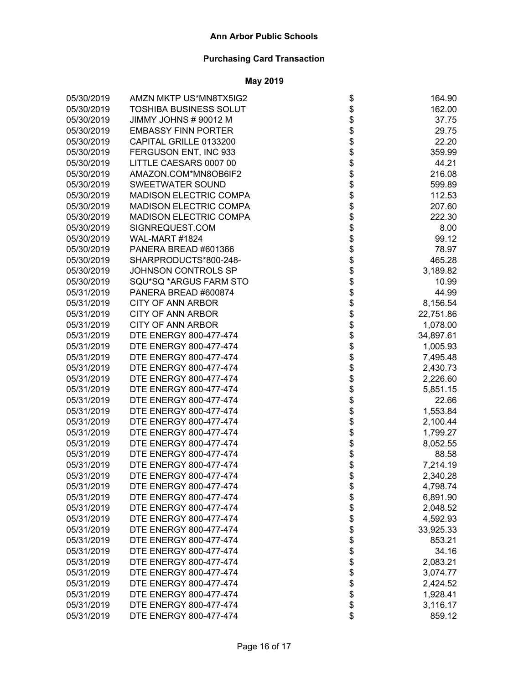| 05/30/2019 | AMZN MKTP US*MN8TX5IG2        | \$                 | 164.90    |
|------------|-------------------------------|--------------------|-----------|
| 05/30/2019 | <b>TOSHIBA BUSINESS SOLUT</b> |                    | 162.00    |
| 05/30/2019 | JIMMY JOHNS # 90012 M         |                    | 37.75     |
| 05/30/2019 | <b>EMBASSY FINN PORTER</b>    |                    | 29.75     |
| 05/30/2019 | CAPITAL GRILLE 0133200        |                    | 22.20     |
| 05/30/2019 | FERGUSON ENT, INC 933         |                    | 359.99    |
| 05/30/2019 | LITTLE CAESARS 0007 00        |                    | 44.21     |
| 05/30/2019 | AMAZON.COM*MN8OB6IF2          |                    | 216.08    |
| 05/30/2019 | SWEETWATER SOUND              |                    | 599.89    |
| 05/30/2019 | <b>MADISON ELECTRIC COMPA</b> |                    | 112.53    |
| 05/30/2019 | MADISON ELECTRIC COMPA        |                    | 207.60    |
| 05/30/2019 | <b>MADISON ELECTRIC COMPA</b> |                    | 222.30    |
| 05/30/2019 | SIGNREQUEST.COM               |                    | 8.00      |
| 05/30/2019 | WAL-MART #1824                |                    | 99.12     |
| 05/30/2019 | PANERA BREAD #601366          |                    | 78.97     |
| 05/30/2019 | SHARPRODUCTS*800-248-         |                    | 465.28    |
| 05/30/2019 | JOHNSON CONTROLS SP           |                    | 3,189.82  |
| 05/30/2019 | SQU*SQ *ARGUS FARM STO        |                    | 10.99     |
| 05/31/2019 | PANERA BREAD #600874          |                    | 44.99     |
| 05/31/2019 | <b>CITY OF ANN ARBOR</b>      |                    | 8,156.54  |
| 05/31/2019 | <b>CITY OF ANN ARBOR</b>      |                    | 22,751.86 |
| 05/31/2019 | <b>CITY OF ANN ARBOR</b>      |                    | 1,078.00  |
| 05/31/2019 | DTE ENERGY 800-477-474        |                    | 34,897.61 |
| 05/31/2019 | DTE ENERGY 800-477-474        |                    | 1,005.93  |
| 05/31/2019 | DTE ENERGY 800-477-474        |                    | 7,495.48  |
| 05/31/2019 | DTE ENERGY 800-477-474        |                    | 2,430.73  |
| 05/31/2019 | DTE ENERGY 800-477-474        |                    | 2,226.60  |
| 05/31/2019 | DTE ENERGY 800-477-474        |                    | 5,851.15  |
| 05/31/2019 | DTE ENERGY 800-477-474        |                    | 22.66     |
| 05/31/2019 | DTE ENERGY 800-477-474        |                    | 1,553.84  |
| 05/31/2019 | DTE ENERGY 800-477-474        |                    | 2,100.44  |
| 05/31/2019 | DTE ENERGY 800-477-474        |                    | 1,799.27  |
| 05/31/2019 | DTE ENERGY 800-477-474        |                    | 8,052.55  |
| 05/31/2019 | DTE ENERGY 800-477-474        |                    | 88.58     |
| 05/31/2019 | DTE ENERGY 800-477-474        |                    | 7,214.19  |
| 05/31/2019 | DTE ENERGY 800-477-474        |                    | 2,340.28  |
| 05/31/2019 | DTE ENERGY 800-477-474        | \$                 | 4,798.74  |
| 05/31/2019 | DTE ENERGY 800-477-474        |                    | 6,891.90  |
| 05/31/2019 | DTE ENERGY 800-477-474        |                    | 2,048.52  |
| 05/31/2019 | DTE ENERGY 800-477-474        |                    | 4,592.93  |
| 05/31/2019 | DTE ENERGY 800-477-474        |                    | 33,925.33 |
| 05/31/2019 | DTE ENERGY 800-477-474        |                    | 853.21    |
| 05/31/2019 | DTE ENERGY 800-477-474        |                    | 34.16     |
| 05/31/2019 | DTE ENERGY 800-477-474        |                    | 2,083.21  |
| 05/31/2019 | DTE ENERGY 800-477-474        | <b>88888888888</b> | 3,074.77  |
| 05/31/2019 | DTE ENERGY 800-477-474        |                    | 2,424.52  |
| 05/31/2019 | DTE ENERGY 800-477-474        |                    | 1,928.41  |
| 05/31/2019 | DTE ENERGY 800-477-474        |                    | 3,116.17  |
| 05/31/2019 | DTE ENERGY 800-477-474        | \$                 | 859.12    |